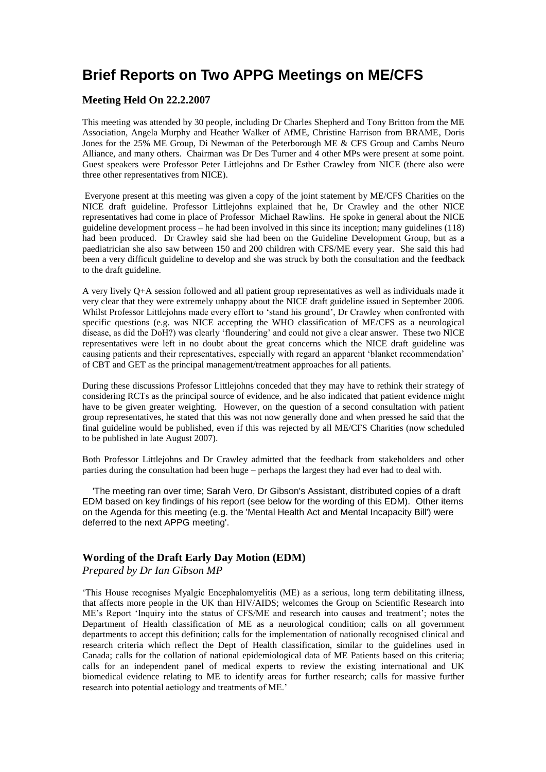## **Brief Reports on Two APPG Meetings on ME/CFS**

## **Meeting Held On 22.2.2007**

This meeting was attended by 30 people, including Dr Charles Shepherd and Tony Britton from the ME Association, Angela Murphy and Heather Walker of AfME, Christine Harrison from BRAME, Doris Jones for the 25% ME Group, Di Newman of the Peterborough ME & CFS Group and Cambs Neuro Alliance, and many others. Chairman was Dr Des Turner and 4 other MPs were present at some point. Guest speakers were Professor Peter Littlejohns and Dr Esther Crawley from NICE (there also were three other representatives from NICE).

Everyone present at this meeting was given a copy of the joint statement by ME/CFS Charities on the NICE draft guideline. Professor Littlejohns explained that he, Dr Crawley and the other NICE representatives had come in place of Professor Michael Rawlins. He spoke in general about the NICE guideline development process – he had been involved in this since its inception; many guidelines (118) had been produced. Dr Crawley said she had been on the Guideline Development Group, but as a paediatrician she also saw between 150 and 200 children with CFS/ME every year. She said this had been a very difficult guideline to develop and she was struck by both the consultation and the feedback to the draft guideline.

A very lively Q+A session followed and all patient group representatives as well as individuals made it very clear that they were extremely unhappy about the NICE draft guideline issued in September 2006. Whilst Professor Littlejohns made every effort to 'stand his ground', Dr Crawley when confronted with specific questions (e.g. was NICE accepting the WHO classification of ME/CFS as a neurological disease, as did the DoH?) was clearly 'floundering' and could not give a clear answer. These two NICE representatives were left in no doubt about the great concerns which the NICE draft guideline was causing patients and their representatives, especially with regard an apparent 'blanket recommendation' of CBT and GET as the principal management/treatment approaches for all patients.

During these discussions Professor Littlejohns conceded that they may have to rethink their strategy of considering RCTs as the principal source of evidence, and he also indicated that patient evidence might have to be given greater weighting. However, on the question of a second consultation with patient group representatives, he stated that this was not now generally done and when pressed he said that the final guideline would be published, even if this was rejected by all ME/CFS Charities (now scheduled to be published in late August 2007).

Both Professor Littlejohns and Dr Crawley admitted that the feedback from stakeholders and other parties during the consultation had been huge – perhaps the largest they had ever had to deal with.

 'The meeting ran over time; Sarah Vero, Dr Gibson's Assistant, distributed copies of a draft EDM based on key findings of his report (see below for the wording of this EDM). Other items on the Agenda for this meeting (e.g. the 'Mental Health Act and Mental Incapacity Bill') were deferred to the next APPG meeting'.

## **Wording of the Draft Early Day Motion (EDM)**

*Prepared by Dr Ian Gibson MP*

'This House recognises Myalgic Encephalomyelitis (ME) as a serious, long term debilitating illness, that affects more people in the UK than HIV/AIDS; welcomes the Group on Scientific Research into ME's Report 'Inquiry into the status of CFS/ME and research into causes and treatment'; notes the Department of Health classification of ME as a neurological condition; calls on all government departments to accept this definition; calls for the implementation of nationally recognised clinical and research criteria which reflect the Dept of Health classification, similar to the guidelines used in Canada; calls for the collation of national epidemiological data of ME Patients based on this criteria; calls for an independent panel of medical experts to review the existing international and UK biomedical evidence relating to ME to identify areas for further research; calls for massive further research into potential aetiology and treatments of ME.'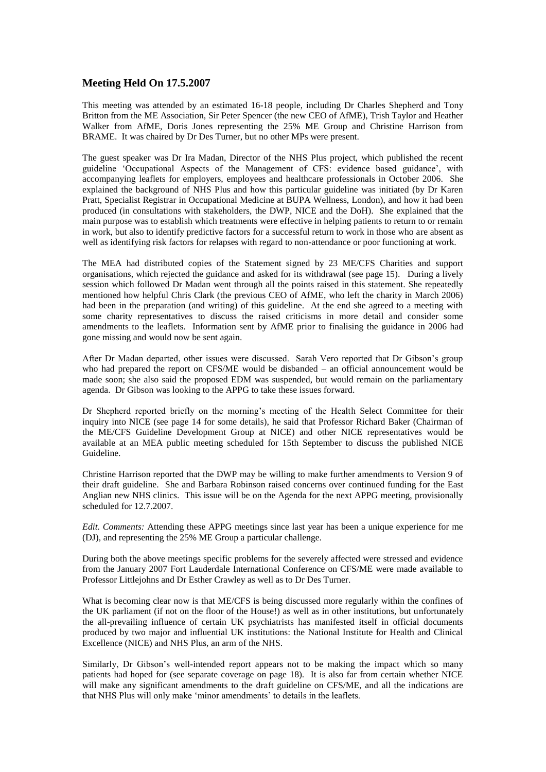## **Meeting Held On 17.5.2007**

This meeting was attended by an estimated 16-18 people, including Dr Charles Shepherd and Tony Britton from the ME Association, Sir Peter Spencer (the new CEO of AfME), Trish Taylor and Heather Walker from AfME, Doris Jones representing the 25% ME Group and Christine Harrison from BRAME. It was chaired by Dr Des Turner, but no other MPs were present.

The guest speaker was Dr Ira Madan, Director of the NHS Plus project, which published the recent guideline 'Occupational Aspects of the Management of CFS: evidence based guidance', with accompanying leaflets for employers, employees and healthcare professionals in October 2006. She explained the background of NHS Plus and how this particular guideline was initiated (by Dr Karen Pratt, Specialist Registrar in Occupational Medicine at BUPA Wellness, London), and how it had been produced (in consultations with stakeholders, the DWP, NICE and the DoH). She explained that the main purpose was to establish which treatments were effective in helping patients to return to or remain in work, but also to identify predictive factors for a successful return to work in those who are absent as well as identifying risk factors for relapses with regard to non-attendance or poor functioning at work.

The MEA had distributed copies of the Statement signed by 23 ME/CFS Charities and support organisations, which rejected the guidance and asked for its withdrawal (see page 15). During a lively session which followed Dr Madan went through all the points raised in this statement. She repeatedly mentioned how helpful Chris Clark (the previous CEO of AfME, who left the charity in March 2006) had been in the preparation (and writing) of this guideline. At the end she agreed to a meeting with some charity representatives to discuss the raised criticisms in more detail and consider some amendments to the leaflets. Information sent by AfME prior to finalising the guidance in 2006 had gone missing and would now be sent again.

After Dr Madan departed, other issues were discussed. Sarah Vero reported that Dr Gibson's group who had prepared the report on CFS/ME would be disbanded – an official announcement would be made soon; she also said the proposed EDM was suspended, but would remain on the parliamentary agenda. Dr Gibson was looking to the APPG to take these issues forward.

Dr Shepherd reported briefly on the morning's meeting of the Health Select Committee for their inquiry into NICE (see page 14 for some details), he said that Professor Richard Baker (Chairman of the ME/CFS Guideline Development Group at NICE) and other NICE representatives would be available at an MEA public meeting scheduled for 15th September to discuss the published NICE Guideline.

Christine Harrison reported that the DWP may be willing to make further amendments to Version 9 of their draft guideline. She and Barbara Robinson raised concerns over continued funding for the East Anglian new NHS clinics. This issue will be on the Agenda for the next APPG meeting, provisionally scheduled for 12.7.2007.

*Edit. Comments:* Attending these APPG meetings since last year has been a unique experience for me (DJ), and representing the 25% ME Group a particular challenge.

During both the above meetings specific problems for the severely affected were stressed and evidence from the January 2007 Fort Lauderdale International Conference on CFS/ME were made available to Professor Littlejohns and Dr Esther Crawley as well as to Dr Des Turner.

What is becoming clear now is that ME/CFS is being discussed more regularly within the confines of the UK parliament (if not on the floor of the House!) as well as in other institutions, but unfortunately the all-prevailing influence of certain UK psychiatrists has manifested itself in official documents produced by two major and influential UK institutions: the National Institute for Health and Clinical Excellence (NICE) and NHS Plus, an arm of the NHS.

Similarly, Dr Gibson's well-intended report appears not to be making the impact which so many patients had hoped for (see separate coverage on page 18). It is also far from certain whether NICE will make any significant amendments to the draft guideline on CFS/ME, and all the indications are that NHS Plus will only make 'minor amendments' to details in the leaflets.